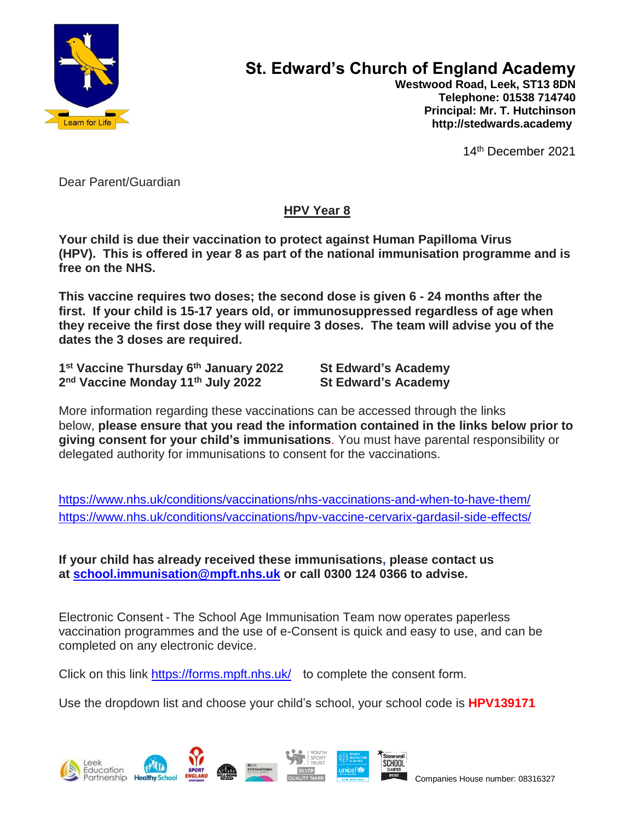

## **St. Edward's Church of England Academy**

 **Westwood Road, Leek, ST13 8DN Telephone: 01538 714740 Principal: Mr. T. Hutchinson http://stedwards.academy**

14th December 2021

Dear Parent/Guardian

## **HPV Year 8**

**Your child is due their vaccination to protect against Human Papilloma Virus (HPV). This is offered in year 8 as part of the national immunisation programme and is free on the NHS.**

**This vaccine requires two doses; the second dose is given 6 - 24 months after the first. If your child is 15-17 years old, or immunosuppressed regardless of age when they receive the first dose they will require 3 doses. The team will advise you of the dates the 3 doses are required.**

**1 st Vaccine Thursday 6th January 2022 St Edward's Academy 2 nd Vaccine Monday 11th July 2022 St Edward's Academy**

More information regarding these vaccinations can be accessed through the links below, **please ensure that you read the information contained in the links below prior to giving consent for your child's immunisations**. You must have parental responsibility or delegated authority for immunisations to consent for the vaccinations.

<https://www.nhs.uk/conditions/vaccinations/nhs-vaccinations-and-when-to-have-them/> <https://www.nhs.uk/conditions/vaccinations/hpv-vaccine-cervarix-gardasil-side-effects/>

**If your child has already received these immunisations, please contact us at [school.immunisation@mpft.nhs.uk](mailto:school.immunisation@mpft.nhs.uk) or call 0300 124 0366 to advise.**

Electronic Consent - The School Age Immunisation Team now operates paperless vaccination programmes and the use of e-Consent is quick and easy to use, and can be completed on any electronic device.

Click on this link <https://forms.mpft.nhs.uk/>to complete the consent form.

Use the dropdown list and choose your child's school, your school code is **HPV139171**